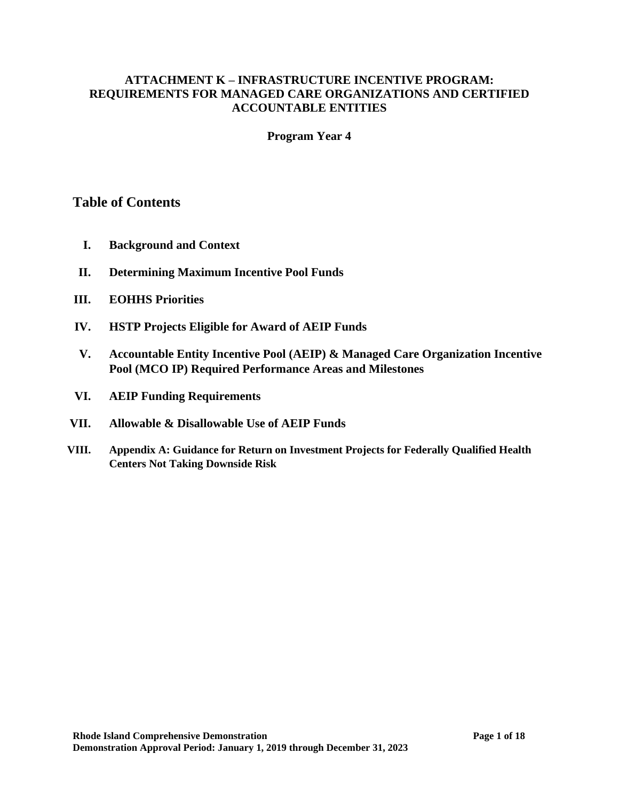#### **ATTACHMENT K – INFRASTRUCTURE INCENTIVE PROGRAM: REQUIREMENTS FOR MANAGED CARE ORGANIZATIONS AND CERTIFIED ACCOUNTABLE ENTITIES**

#### **Program Year 4**

### **Table of Contents**

- **I. Background and Context**
- **II. Determining Maximum Incentive Pool Funds**
- **III. EOHHS Priorities**
- **IV. HSTP Projects Eligible for Award of AEIP Funds**
- **V. Accountable Entity Incentive Pool (AEIP) & Managed Care Organization Incentive Pool (MCO IP) Required Performance Areas and Milestones**
- **VI. AEIP Funding Requirements**
- **VII. Allowable & Disallowable Use of AEIP Funds**
- **VIII. Appendix A: Guidance for Return on Investment Projects for Federally Qualified Health Centers Not Taking Downside Risk**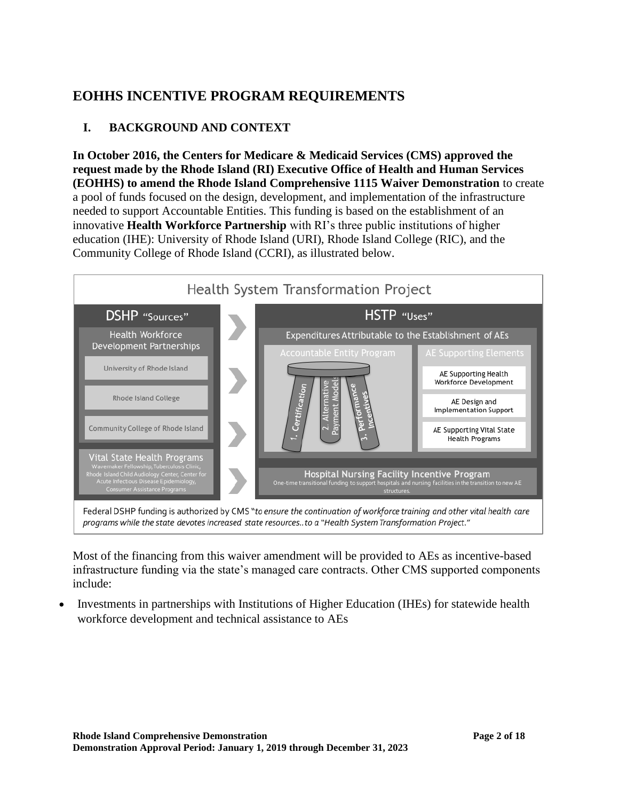# **EOHHS INCENTIVE PROGRAM REQUIREMENTS**

## **I. BACKGROUND AND CONTEXT**

**In October 2016, the Centers for Medicare & Medicaid Services (CMS) approved the request made by the Rhode Island (RI) Executive Office of Health and Human Services (EOHHS) to amend the Rhode Island Comprehensive 1115 Waiver Demonstration** to create a pool of funds focused on the design, development, and implementation of the infrastructure needed to support Accountable Entities. This funding is based on the establishment of an innovative **Health Workforce Partnership** with RI's three public institutions of higher education (IHE): University of Rhode Island (URI), Rhode Island College (RIC), and the Community College of Rhode Island (CCRI), as illustrated below.



Most of the financing from this waiver amendment will be provided to AEs as incentive-based infrastructure funding via the state's managed care contracts. Other CMS supported components include:

• Investments in partnerships with Institutions of Higher Education (IHEs) for statewide health workforce development and technical assistance to AEs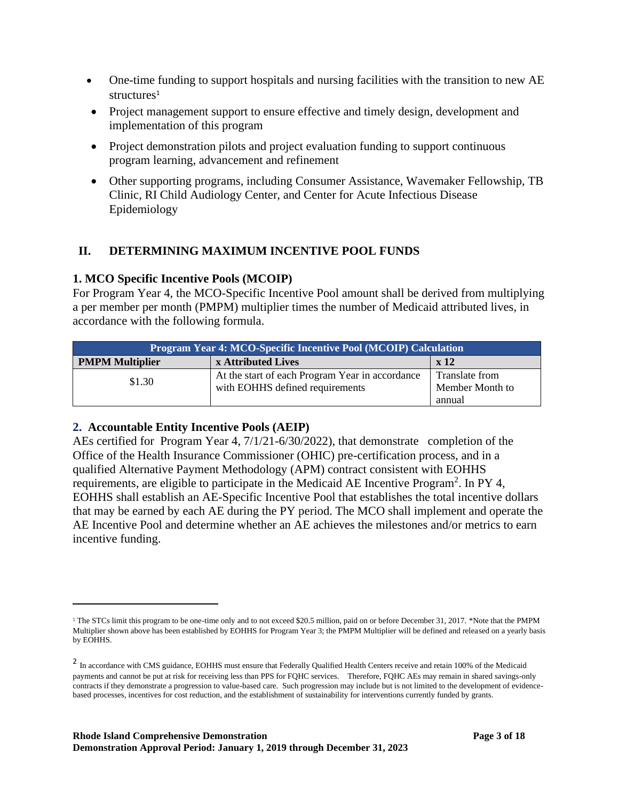- One-time funding to support hospitals and nursing facilities with the transition to new AE structures<sup>1</sup>
- Project management support to ensure effective and timely design, development and implementation of this program
- Project demonstration pilots and project evaluation funding to support continuous program learning, advancement and refinement
- Other supporting programs, including Consumer Assistance, Wavemaker Fellowship, TB Clinic, RI Child Audiology Center, and Center for Acute Infectious Disease Epidemiology

### **II. DETERMINING MAXIMUM INCENTIVE POOL FUNDS**

### **1. MCO Specific Incentive Pools (MCOIP)**

For Program Year 4, the MCO-Specific Incentive Pool amount shall be derived from multiplying a per member per month (PMPM) multiplier times the number of Medicaid attributed lives, in accordance with the following formula.

| <b>Program Year 4: MCO-Specific Incentive Pool (MCOIP) Calculation</b> |                                                                                    |                                   |  |  |  |
|------------------------------------------------------------------------|------------------------------------------------------------------------------------|-----------------------------------|--|--|--|
| <b>PMPM Multiplier</b><br>x Attributed Lives<br>$\mathbf{x}$ 12        |                                                                                    |                                   |  |  |  |
| \$1.30                                                                 | At the start of each Program Year in accordance<br>with EOHHS defined requirements | Translate from<br>Member Month to |  |  |  |
|                                                                        |                                                                                    | annual                            |  |  |  |

### **2. Accountable Entity Incentive Pools (AEIP)**

AEs certified for Program Year 4, 7/1/21-6/30/2022), that demonstrate completion of the Office of the Health Insurance Commissioner (OHIC) pre-certification process, and in a qualified Alternative Payment Methodology (APM) contract consistent with EOHHS requirements, are eligible to participate in the Medicaid AE Incentive Program<sup>2</sup>. In PY 4, EOHHS shall establish an AE-Specific Incentive Pool that establishes the total incentive dollars that may be earned by each AE during the PY period. The MCO shall implement and operate the AE Incentive Pool and determine whether an AE achieves the milestones and/or metrics to earn incentive funding.

<sup>&</sup>lt;sup>1</sup> The STCs limit this program to be one-time only and to not exceed \$20.5 million, paid on or before December 31, 2017. \*Note that the PMPM Multiplier shown above has been established by EOHHS for Program Year 3; the PMPM Multiplier will be defined and released on a yearly basis by EOHHS.

<sup>&</sup>lt;sup>2</sup> In accordance with CMS guidance, EOHHS must ensure that Federally Qualified Health Centers receive and retain 100% of the Medicaid payments and cannot be put at risk for receiving less than PPS for FQHC services. Therefore, FQHC AEs may remain in shared savings-only contracts if they demonstrate a progression to value-based care. Such progression may include but is not limited to the development of evidencebased processes, incentives for cost reduction, and the establishment of sustainability for interventions currently funded by grants.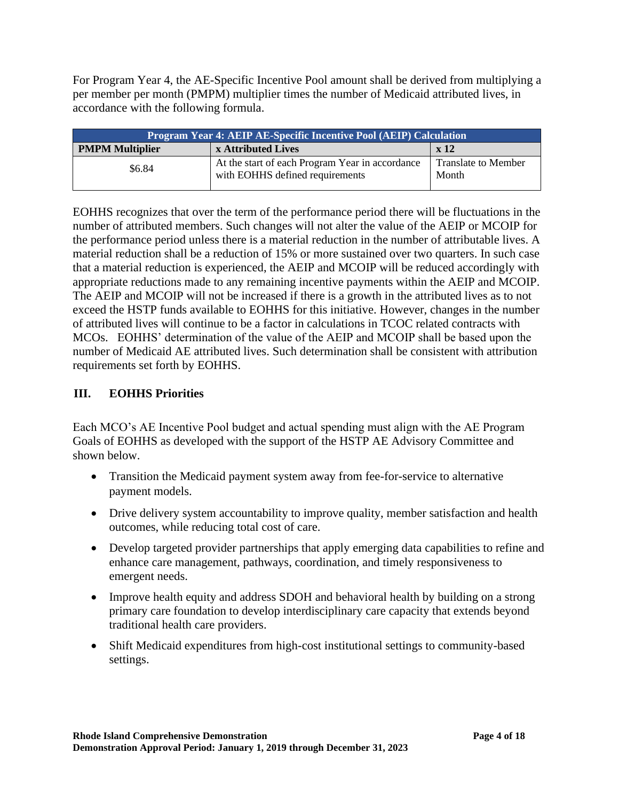For Program Year 4, the AE-Specific Incentive Pool amount shall be derived from multiplying a per member per month (PMPM) multiplier times the number of Medicaid attributed lives, in accordance with the following formula.

| <b>Program Year 4: AEIP AE-Specific Incentive Pool (AEIP) Calculation</b> |                                                                                    |                                     |  |  |
|---------------------------------------------------------------------------|------------------------------------------------------------------------------------|-------------------------------------|--|--|
| <b>PMPM Multiplier</b><br>x Attributed Lives<br>x 12                      |                                                                                    |                                     |  |  |
| \$6.84                                                                    | At the start of each Program Year in accordance<br>with EOHHS defined requirements | <b>Translate to Member</b><br>Month |  |  |

EOHHS recognizes that over the term of the performance period there will be fluctuations in the number of attributed members. Such changes will not alter the value of the AEIP or MCOIP for the performance period unless there is a material reduction in the number of attributable lives. A material reduction shall be a reduction of 15% or more sustained over two quarters. In such case that a material reduction is experienced, the AEIP and MCOIP will be reduced accordingly with appropriate reductions made to any remaining incentive payments within the AEIP and MCOIP. The AEIP and MCOIP will not be increased if there is a growth in the attributed lives as to not exceed the HSTP funds available to EOHHS for this initiative. However, changes in the number of attributed lives will continue to be a factor in calculations in TCOC related contracts with MCOs. EOHHS' determination of the value of the AEIP and MCOIP shall be based upon the number of Medicaid AE attributed lives. Such determination shall be consistent with attribution requirements set forth by EOHHS.

### **III. EOHHS Priorities**

Each MCO's AE Incentive Pool budget and actual spending must align with the AE Program Goals of EOHHS as developed with the support of the HSTP AE Advisory Committee and shown below.

- Transition the Medicaid payment system away from fee-for-service to alternative payment models.
- Drive delivery system accountability to improve quality, member satisfaction and health outcomes, while reducing total cost of care.
- Develop targeted provider partnerships that apply emerging data capabilities to refine and enhance care management, pathways, coordination, and timely responsiveness to emergent needs.
- Improve health equity and address SDOH and behavioral health by building on a strong primary care foundation to develop interdisciplinary care capacity that extends beyond traditional health care providers.
- Shift Medicaid expenditures from high-cost institutional settings to community-based settings.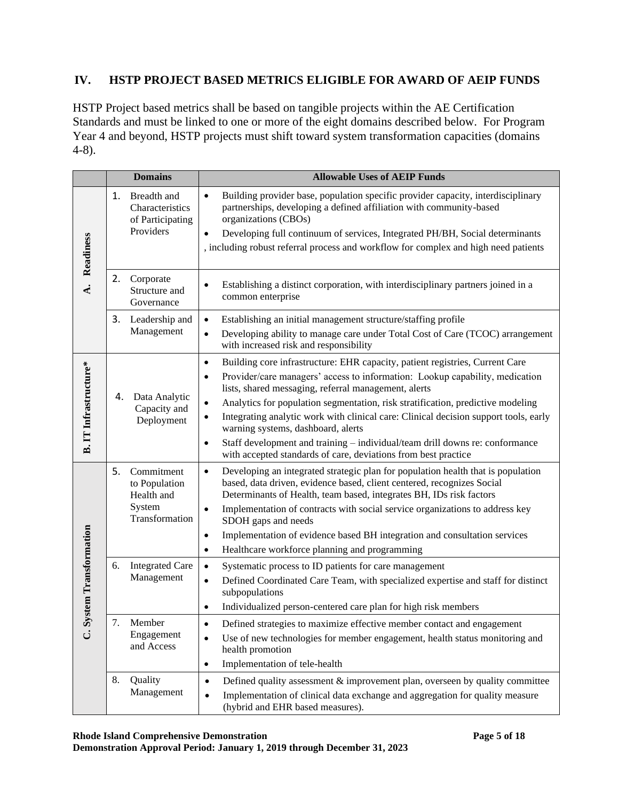### **IV. HSTP PROJECT BASED METRICS ELIGIBLE FOR AWARD OF AEIP FUNDS**

HSTP Project based metrics shall be based on tangible projects within the AE Certification Standards and must be linked to one or more of the eight domains described below. For Program Year 4 and beyond, HSTP projects must shift toward system transformation capacities (domains 4-8).

|                              |    | <b>Domains</b>                                                  | <b>Allowable Uses of AEIP Funds</b>                                                                                                                                                                                                                                                                                                                                              |
|------------------------------|----|-----------------------------------------------------------------|----------------------------------------------------------------------------------------------------------------------------------------------------------------------------------------------------------------------------------------------------------------------------------------------------------------------------------------------------------------------------------|
| Readiness                    | 1. | Breadth and<br>Characteristics<br>of Participating<br>Providers | Building provider base, population specific provider capacity, interdisciplinary<br>$\bullet$<br>partnerships, developing a defined affiliation with community-based<br>organizations (CBOs)<br>Developing full continuum of services, Integrated PH/BH, Social determinants<br>$\bullet$<br>, including robust referral process and workflow for complex and high need patients |
|                              |    |                                                                 |                                                                                                                                                                                                                                                                                                                                                                                  |
| $\dot{\mathbf{A}}$           | 2. | Corporate<br>Structure and<br>Governance                        | Establishing a distinct corporation, with interdisciplinary partners joined in a<br>$\bullet$<br>common enterprise                                                                                                                                                                                                                                                               |
|                              | 3. | Leadership and<br>Management                                    | Establishing an initial management structure/staffing profile<br>$\bullet$<br>Developing ability to manage care under Total Cost of Care (TCOC) arrangement<br>$\bullet$<br>with increased risk and responsibility                                                                                                                                                               |
| B. IT Infrastructure*        |    | 4. Data Analytic                                                | Building core infrastructure: EHR capacity, patient registries, Current Care<br>$\bullet$<br>Provider/care managers' access to information: Lookup capability, medication<br>$\bullet$<br>lists, shared messaging, referral management, alerts<br>Analytics for population segmentation, risk stratification, predictive modeling<br>$\bullet$                                   |
|                              |    | Capacity and<br>Deployment                                      | Integrating analytic work with clinical care: Clinical decision support tools, early<br>$\bullet$<br>warning systems, dashboard, alerts                                                                                                                                                                                                                                          |
|                              |    |                                                                 | Staff development and training – individual/team drill downs re: conformance<br>$\bullet$<br>with accepted standards of care, deviations from best practice                                                                                                                                                                                                                      |
|                              | 5. | Commitment<br>to Population<br>Health and                       | Developing an integrated strategic plan for population health that is population<br>$\bullet$<br>based, data driven, evidence based, client centered, recognizes Social<br>Determinants of Health, team based, integrates BH, IDs risk factors                                                                                                                                   |
|                              |    | System<br>Transformation                                        | Implementation of contracts with social service organizations to address key<br>$\bullet$<br>SDOH gaps and needs                                                                                                                                                                                                                                                                 |
|                              |    |                                                                 | Implementation of evidence based BH integration and consultation services<br>$\bullet$<br>Healthcare workforce planning and programming<br>$\bullet$                                                                                                                                                                                                                             |
| <b>System Transformation</b> | 6. | <b>Integrated Care</b><br>Management                            | Systematic process to ID patients for care management<br>$\bullet$<br>Defined Coordinated Care Team, with specialized expertise and staff for distinct<br>$\bullet$<br>subpopulations<br>Individualized person-centered care plan for high risk members<br>$\bullet$                                                                                                             |
|                              | 7. | Member                                                          | Defined strategies to maximize effective member contact and engagement                                                                                                                                                                                                                                                                                                           |
| ڑ                            |    | Engagement<br>and Access                                        | Use of new technologies for member engagement, health status monitoring and<br>$\bullet$<br>health promotion                                                                                                                                                                                                                                                                     |
|                              |    |                                                                 | Implementation of tele-health<br>$\bullet$                                                                                                                                                                                                                                                                                                                                       |
|                              | 8. | Quality<br>Management                                           | Defined quality assessment $\&$ improvement plan, overseen by quality committee<br>$\bullet$<br>Implementation of clinical data exchange and aggregation for quality measure<br>$\bullet$<br>(hybrid and EHR based measures).                                                                                                                                                    |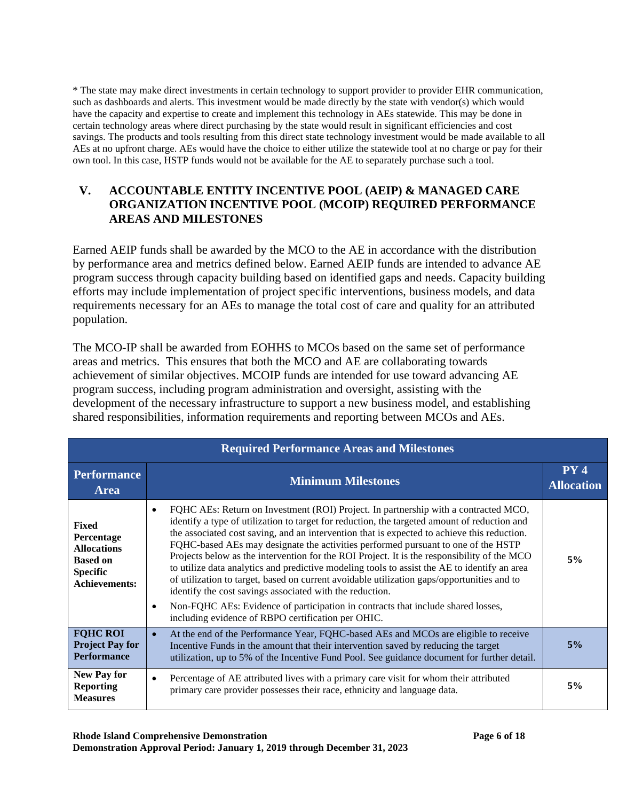\* The state may make direct investments in certain technology to support provider to provider EHR communication, such as dashboards and alerts. This investment would be made directly by the state with vendor(s) which would have the capacity and expertise to create and implement this technology in AEs statewide. This may be done in certain technology areas where direct purchasing by the state would result in significant efficiencies and cost savings. The products and tools resulting from this direct state technology investment would be made available to all AEs at no upfront charge. AEs would have the choice to either utilize the statewide tool at no charge or pay for their own tool. In this case, HSTP funds would not be available for the AE to separately purchase such a tool.

### **V. ACCOUNTABLE ENTITY INCENTIVE POOL (AEIP) & MANAGED CARE ORGANIZATION INCENTIVE POOL (MCOIP) REQUIRED PERFORMANCE AREAS AND MILESTONES**

Earned AEIP funds shall be awarded by the MCO to the AE in accordance with the distribution by performance area and metrics defined below. Earned AEIP funds are intended to advance AE program success through capacity building based on identified gaps and needs. Capacity building efforts may include implementation of project specific interventions, business models, and data requirements necessary for an AEs to manage the total cost of care and quality for an attributed population.

The MCO-IP shall be awarded from EOHHS to MCOs based on the same set of performance areas and metrics. This ensures that both the MCO and AE are collaborating towards achievement of similar objectives. MCOIP funds are intended for use toward advancing AE program success, including program administration and oversight, assisting with the development of the necessary infrastructure to support a new business model, and establishing shared responsibilities, information requirements and reporting between MCOs and AEs.

| <b>Required Performance Areas and Milestones</b>                                                               |                                                                                                                                                                                                                                                                                                                                                                                                                                                                                                                                                                                                                                                                                                                                                                                                                                                                                         |                          |  |  |
|----------------------------------------------------------------------------------------------------------------|-----------------------------------------------------------------------------------------------------------------------------------------------------------------------------------------------------------------------------------------------------------------------------------------------------------------------------------------------------------------------------------------------------------------------------------------------------------------------------------------------------------------------------------------------------------------------------------------------------------------------------------------------------------------------------------------------------------------------------------------------------------------------------------------------------------------------------------------------------------------------------------------|--------------------------|--|--|
| <b>Performance</b><br>Area                                                                                     | <b>Minimum Milestones</b>                                                                                                                                                                                                                                                                                                                                                                                                                                                                                                                                                                                                                                                                                                                                                                                                                                                               | PY4<br><b>Allocation</b> |  |  |
| <b>Fixed</b><br>Percentage<br><b>Allocations</b><br><b>Based on</b><br><b>Specific</b><br><b>Achievements:</b> | FQHC AEs: Return on Investment (ROI) Project. In partnership with a contracted MCO,<br>identify a type of utilization to target for reduction, the targeted amount of reduction and<br>the associated cost saving, and an intervention that is expected to achieve this reduction.<br>FQHC-based AEs may designate the activities performed pursuant to one of the HSTP<br>Projects below as the intervention for the ROI Project. It is the responsibility of the MCO<br>to utilize data analytics and predictive modeling tools to assist the AE to identify an area<br>of utilization to target, based on current avoidable utilization gaps/opportunities and to<br>identify the cost savings associated with the reduction.<br>Non-FQHC AEs: Evidence of participation in contracts that include shared losses,<br>$\bullet$<br>including evidence of RBPO certification per OHIC. | 5%                       |  |  |
| <b>FQHC ROI</b><br><b>Project Pay for</b><br><b>Performance</b>                                                | At the end of the Performance Year, FQHC-based AEs and MCOs are eligible to receive<br>$\bullet$<br>Incentive Funds in the amount that their intervention saved by reducing the target<br>utilization, up to 5% of the Incentive Fund Pool. See guidance document for further detail.                                                                                                                                                                                                                                                                                                                                                                                                                                                                                                                                                                                                   | 5%                       |  |  |
| <b>New Pay for</b><br><b>Reporting</b><br><b>Measures</b>                                                      | Percentage of AE attributed lives with a primary care visit for whom their attributed<br>primary care provider possesses their race, ethnicity and language data.                                                                                                                                                                                                                                                                                                                                                                                                                                                                                                                                                                                                                                                                                                                       | 5%                       |  |  |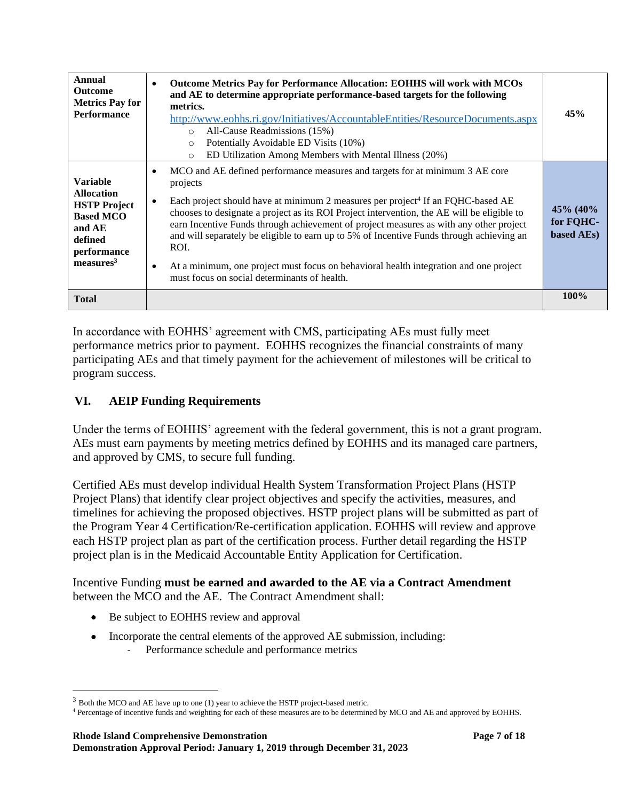| Annual<br><b>Outcome</b><br><b>Metrics Pay for</b><br><b>Performance</b>                                                                     | <b>Outcome Metrics Pay for Performance Allocation: EOHHS will work with MCOs</b><br>$\bullet$<br>and AE to determine appropriate performance-based targets for the following<br>metrics.<br>http://www.eohhs.ri.gov/Initiatives/AccountableEntities/ResourceDocuments.aspx<br>All-Cause Readmissions (15%)<br>$\circ$<br>Potentially Avoidable ED Visits (10%)<br>$\Omega$<br>ED Utilization Among Members with Mental Illness (20%)<br>$\circ$                                                                                                                                                                              | 45%                                    |
|----------------------------------------------------------------------------------------------------------------------------------------------|------------------------------------------------------------------------------------------------------------------------------------------------------------------------------------------------------------------------------------------------------------------------------------------------------------------------------------------------------------------------------------------------------------------------------------------------------------------------------------------------------------------------------------------------------------------------------------------------------------------------------|----------------------------------------|
| <b>Variable</b><br><b>Allocation</b><br><b>HSTP</b> Project<br><b>Based MCO</b><br>and AE<br>defined<br>performance<br>measures <sup>3</sup> | MCO and AE defined performance measures and targets for at minimum 3 AE core<br>projects<br>Each project should have at minimum 2 measures per project <sup>4</sup> If an FQHC-based AE<br>chooses to designate a project as its ROI Project intervention, the AE will be eligible to<br>earn Incentive Funds through achievement of project measures as with any other project<br>and will separately be eligible to earn up to 5% of Incentive Funds through achieving an<br>ROI.<br>At a minimum, one project must focus on behavioral health integration and one project<br>must focus on social determinants of health. | 45\% (40\%)<br>for FQHC-<br>based AEs) |
| <b>Total</b>                                                                                                                                 |                                                                                                                                                                                                                                                                                                                                                                                                                                                                                                                                                                                                                              | 100%                                   |

In accordance with EOHHS' agreement with CMS, participating AEs must fully meet performance metrics prior to payment. EOHHS recognizes the financial constraints of many participating AEs and that timely payment for the achievement of milestones will be critical to program success.

### **VI. AEIP Funding Requirements**

Under the terms of EOHHS' agreement with the federal government, this is not a grant program. AEs must earn payments by meeting metrics defined by EOHHS and its managed care partners, and approved by CMS, to secure full funding.

Certified AEs must develop individual Health System Transformation Project Plans (HSTP Project Plans) that identify clear project objectives and specify the activities, measures, and timelines for achieving the proposed objectives. HSTP project plans will be submitted as part of the Program Year 4 Certification/Re-certification application. EOHHS will review and approve each HSTP project plan as part of the certification process. Further detail regarding the HSTP project plan is in the Medicaid Accountable Entity Application for Certification.

Incentive Funding **must be earned and awarded to the AE via a Contract Amendment** between the MCO and the AE.The Contract Amendment shall:

- Be subject to EOHHS review and approval
- Incorporate the central elements of the approved AE submission, including: Performance schedule and performance metrics

 $3$  Both the MCO and AE have up to one (1) year to achieve the HSTP project-based metric.

<sup>4</sup> Percentage of incentive funds and weighting for each of these measures are to be determined by MCO and AE and approved by EOHHS.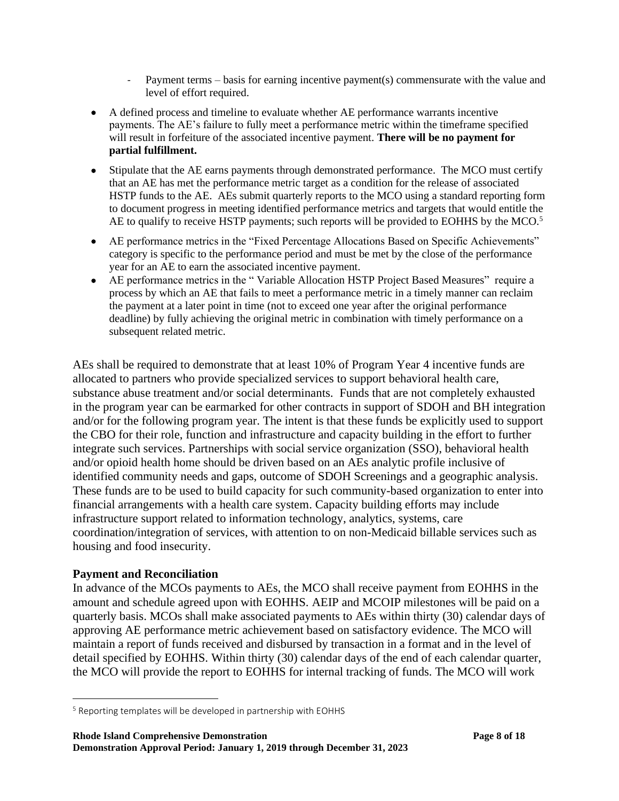- Payment terms basis for earning incentive payment(s) commensurate with the value and level of effort required.
- A defined process and timeline to evaluate whether AE performance warrants incentive payments. The AE's failure to fully meet a performance metric within the timeframe specified will result in forfeiture of the associated incentive payment. **There will be no payment for partial fulfillment.**
- Stipulate that the AE earns payments through demonstrated performance. The MCO must certify that an AE has met the performance metric target as a condition for the release of associated HSTP funds to the AE. AEs submit quarterly reports to the MCO using a standard reporting form to document progress in meeting identified performance metrics and targets that would entitle the AE to qualify to receive HSTP payments; such reports will be provided to EOHHS by the MCO.<sup>5</sup>
- AE performance metrics in the "Fixed Percentage Allocations Based on Specific Achievements" category is specific to the performance period and must be met by the close of the performance year for an AE to earn the associated incentive payment.
- AE performance metrics in the "Variable Allocation HSTP Project Based Measures" require a process by which an AE that fails to meet a performance metric in a timely manner can reclaim the payment at a later point in time (not to exceed one year after the original performance deadline) by fully achieving the original metric in combination with timely performance on a subsequent related metric.

AEs shall be required to demonstrate that at least 10% of Program Year 4 incentive funds are allocated to partners who provide specialized services to support behavioral health care, substance abuse treatment and/or social determinants. Funds that are not completely exhausted in the program year can be earmarked for other contracts in support of SDOH and BH integration and/or for the following program year. The intent is that these funds be explicitly used to support the CBO for their role, function and infrastructure and capacity building in the effort to further integrate such services. Partnerships with social service organization (SSO), behavioral health and/or opioid health home should be driven based on an AEs analytic profile inclusive of identified community needs and gaps, outcome of SDOH Screenings and a geographic analysis. These funds are to be used to build capacity for such community-based organization to enter into financial arrangements with a health care system. Capacity building efforts may include infrastructure support related to information technology, analytics, systems, care coordination/integration of services, with attention to on non-Medicaid billable services such as housing and food insecurity.

### **Payment and Reconciliation**

In advance of the MCOs payments to AEs, the MCO shall receive payment from EOHHS in the amount and schedule agreed upon with EOHHS. AEIP and MCOIP milestones will be paid on a quarterly basis. MCOs shall make associated payments to AEs within thirty (30) calendar days of approving AE performance metric achievement based on satisfactory evidence. The MCO will maintain a report of funds received and disbursed by transaction in a format and in the level of detail specified by EOHHS. Within thirty (30) calendar days of the end of each calendar quarter, the MCO will provide the report to EOHHS for internal tracking of funds. The MCO will work

<sup>5</sup> Reporting templates will be developed in partnership with EOHHS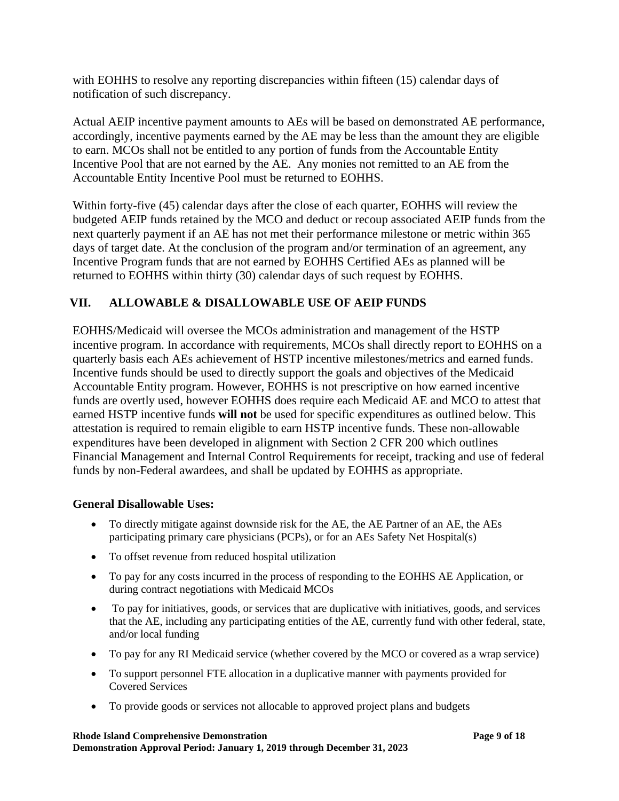with EOHHS to resolve any reporting discrepancies within fifteen (15) calendar days of notification of such discrepancy.

Actual AEIP incentive payment amounts to AEs will be based on demonstrated AE performance, accordingly, incentive payments earned by the AE may be less than the amount they are eligible to earn. MCOs shall not be entitled to any portion of funds from the Accountable Entity Incentive Pool that are not earned by the AE. Any monies not remitted to an AE from the Accountable Entity Incentive Pool must be returned to EOHHS.

Within forty-five (45) calendar days after the close of each quarter, EOHHS will review the budgeted AEIP funds retained by the MCO and deduct or recoup associated AEIP funds from the next quarterly payment if an AE has not met their performance milestone or metric within 365 days of target date. At the conclusion of the program and/or termination of an agreement, any Incentive Program funds that are not earned by EOHHS Certified AEs as planned will be returned to EOHHS within thirty (30) calendar days of such request by EOHHS.

# **VII. ALLOWABLE & DISALLOWABLE USE OF AEIP FUNDS**

EOHHS/Medicaid will oversee the MCOs administration and management of the HSTP incentive program. In accordance with requirements, MCOs shall directly report to EOHHS on a quarterly basis each AEs achievement of HSTP incentive milestones/metrics and earned funds. Incentive funds should be used to directly support the goals and objectives of the Medicaid Accountable Entity program. However, EOHHS is not prescriptive on how earned incentive funds are overtly used, however EOHHS does require each Medicaid AE and MCO to attest that earned HSTP incentive funds **will not** be used for specific expenditures as outlined below. This attestation is required to remain eligible to earn HSTP incentive funds. These non-allowable expenditures have been developed in alignment with Section 2 CFR 200 which outlines Financial Management and Internal Control Requirements for receipt, tracking and use of federal funds by non-Federal awardees, and shall be updated by EOHHS as appropriate.

### **General Disallowable Uses:**

- To directly mitigate against downside risk for the AE, the AE Partner of an AE, the AEs participating primary care physicians (PCPs), or for an AEs Safety Net Hospital(s)
- To offset revenue from reduced hospital utilization
- To pay for any costs incurred in the process of responding to the EOHHS AE Application, or during contract negotiations with Medicaid MCOs
- To pay for initiatives, goods, or services that are duplicative with initiatives, goods, and services that the AE, including any participating entities of the AE, currently fund with other federal, state, and/or local funding
- To pay for any RI Medicaid service (whether covered by the MCO or covered as a wrap service)
- To support personnel FTE allocation in a duplicative manner with payments provided for Covered Services
- To provide goods or services not allocable to approved project plans and budgets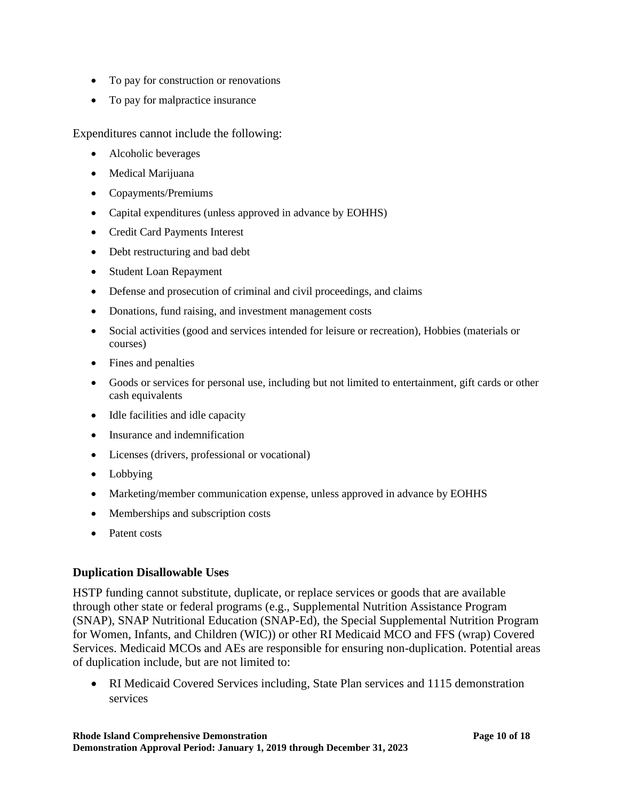- To pay for construction or renovations
- To pay for malpractice insurance

Expenditures cannot include the following:

- Alcoholic beverages
- Medical Marijuana
- Copayments/Premiums
- Capital expenditures (unless approved in advance by EOHHS)
- Credit Card Payments Interest
- Debt restructuring and bad debt
- Student Loan Repayment
- Defense and prosecution of criminal and civil proceedings, and claims
- Donations, fund raising, and investment management costs
- Social activities (good and services intended for leisure or recreation), Hobbies (materials or courses)
- Fines and penalties
- Goods or services for personal use, including but not limited to entertainment, gift cards or other cash equivalents
- Idle facilities and idle capacity
- Insurance and indemnification
- Licenses (drivers, professional or vocational)
- Lobbying
- Marketing/member communication expense, unless approved in advance by EOHHS
- Memberships and subscription costs
- Patent costs

### **Duplication Disallowable Uses**

HSTP funding cannot substitute, duplicate, or replace services or goods that are available through other state or federal programs (e.g., Supplemental Nutrition Assistance Program (SNAP), SNAP Nutritional Education (SNAP-Ed), the Special Supplemental Nutrition Program for Women, Infants, and Children (WIC)) or other RI Medicaid MCO and FFS (wrap) Covered Services. Medicaid MCOs and AEs are responsible for ensuring non-duplication. Potential areas of duplication include, but are not limited to:

• RI Medicaid Covered Services including, State Plan services and 1115 demonstration services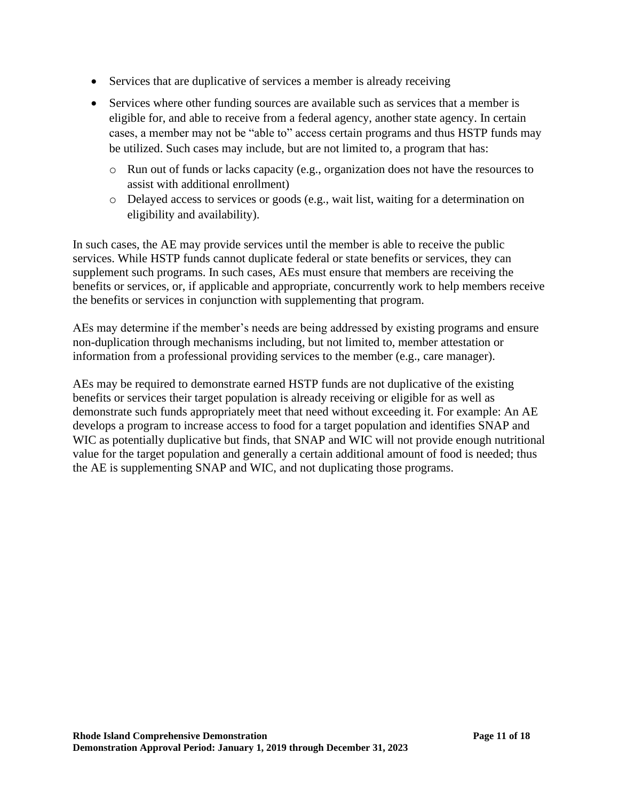- Services that are duplicative of services a member is already receiving
- Services where other funding sources are available such as services that a member is eligible for, and able to receive from a federal agency, another state agency. In certain cases, a member may not be "able to" access certain programs and thus HSTP funds may be utilized. Such cases may include, but are not limited to, a program that has:
	- o Run out of funds or lacks capacity (e.g., organization does not have the resources to assist with additional enrollment)
	- o Delayed access to services or goods (e.g., wait list, waiting for a determination on eligibility and availability).

In such cases, the AE may provide services until the member is able to receive the public services. While HSTP funds cannot duplicate federal or state benefits or services, they can supplement such programs. In such cases, AEs must ensure that members are receiving the benefits or services, or, if applicable and appropriate, concurrently work to help members receive the benefits or services in conjunction with supplementing that program.

AEs may determine if the member's needs are being addressed by existing programs and ensure non-duplication through mechanisms including, but not limited to, member attestation or information from a professional providing services to the member (e.g., care manager).

AEs may be required to demonstrate earned HSTP funds are not duplicative of the existing benefits or services their target population is already receiving or eligible for as well as demonstrate such funds appropriately meet that need without exceeding it. For example: An AE develops a program to increase access to food for a target population and identifies SNAP and WIC as potentially duplicative but finds, that SNAP and WIC will not provide enough nutritional value for the target population and generally a certain additional amount of food is needed; thus the AE is supplementing SNAP and WIC, and not duplicating those programs.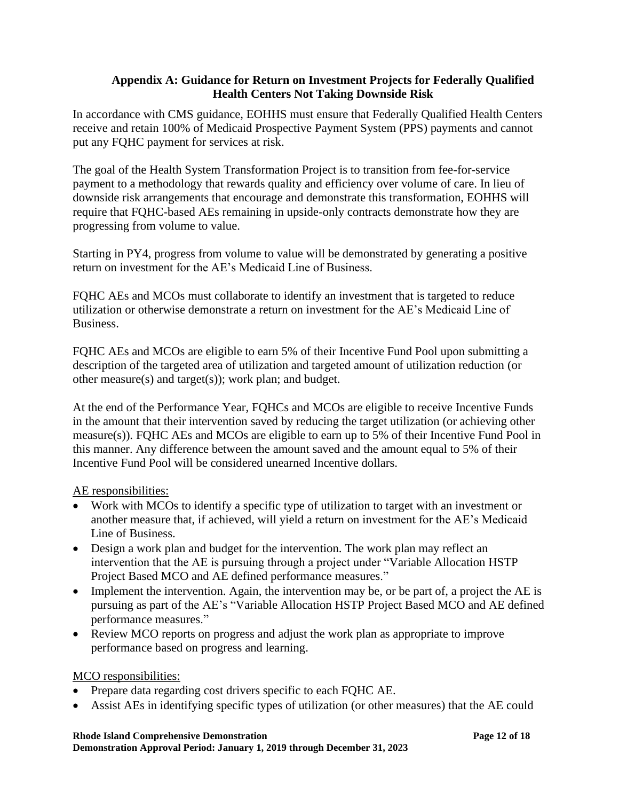#### **Appendix A: Guidance for Return on Investment Projects for Federally Qualified Health Centers Not Taking Downside Risk**

In accordance with CMS guidance, EOHHS must ensure that Federally Qualified Health Centers receive and retain 100% of Medicaid Prospective Payment System (PPS) payments and cannot put any FQHC payment for services at risk.

The goal of the Health System Transformation Project is to transition from fee-for-service payment to a methodology that rewards quality and efficiency over volume of care. In lieu of downside risk arrangements that encourage and demonstrate this transformation, EOHHS will require that FQHC-based AEs remaining in upside-only contracts demonstrate how they are progressing from volume to value.

Starting in PY4, progress from volume to value will be demonstrated by generating a positive return on investment for the AE's Medicaid Line of Business.

FQHC AEs and MCOs must collaborate to identify an investment that is targeted to reduce utilization or otherwise demonstrate a return on investment for the AE's Medicaid Line of Business.

FQHC AEs and MCOs are eligible to earn 5% of their Incentive Fund Pool upon submitting a description of the targeted area of utilization and targeted amount of utilization reduction (or other measure(s) and target(s)); work plan; and budget.

At the end of the Performance Year, FQHCs and MCOs are eligible to receive Incentive Funds in the amount that their intervention saved by reducing the target utilization (or achieving other measure(s)). FQHC AEs and MCOs are eligible to earn up to 5% of their Incentive Fund Pool in this manner. Any difference between the amount saved and the amount equal to 5% of their Incentive Fund Pool will be considered unearned Incentive dollars.

AE responsibilities:

- Work with MCOs to identify a specific type of utilization to target with an investment or another measure that, if achieved, will yield a return on investment for the AE's Medicaid Line of Business.
- Design a work plan and budget for the intervention. The work plan may reflect an intervention that the AE is pursuing through a project under "Variable Allocation HSTP Project Based MCO and AE defined performance measures."
- Implement the intervention. Again, the intervention may be, or be part of, a project the AE is pursuing as part of the AE's "Variable Allocation HSTP Project Based MCO and AE defined performance measures."
- Review MCO reports on progress and adjust the work plan as appropriate to improve performance based on progress and learning.

### MCO responsibilities:

- Prepare data regarding cost drivers specific to each FQHC AE.
- Assist AEs in identifying specific types of utilization (or other measures) that the AE could

**Rhode Island Comprehensive Demonstration Page 12 of 18**

**Demonstration Approval Period: January 1, 2019 through December 31, 2023**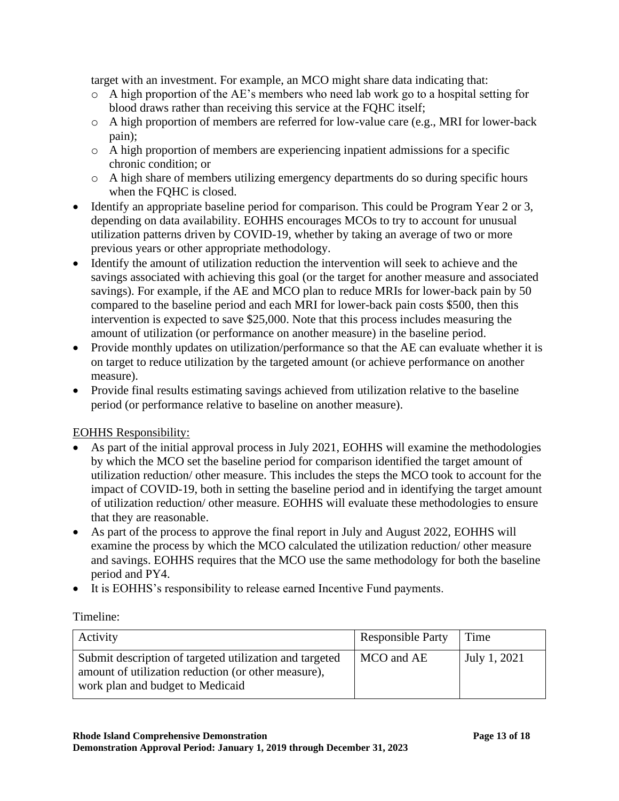target with an investment. For example, an MCO might share data indicating that:

- o A high proportion of the AE's members who need lab work go to a hospital setting for blood draws rather than receiving this service at the FQHC itself;
- o A high proportion of members are referred for low-value care (e.g., MRI for lower-back pain);
- o A high proportion of members are experiencing inpatient admissions for a specific chronic condition; or
- o A high share of members utilizing emergency departments do so during specific hours when the FQHC is closed.
- Identify an appropriate baseline period for comparison. This could be Program Year 2 or 3, depending on data availability. EOHHS encourages MCOs to try to account for unusual utilization patterns driven by COVID-19, whether by taking an average of two or more previous years or other appropriate methodology.
- Identify the amount of utilization reduction the intervention will seek to achieve and the savings associated with achieving this goal (or the target for another measure and associated savings). For example, if the AE and MCO plan to reduce MRIs for lower-back pain by 50 compared to the baseline period and each MRI for lower-back pain costs \$500, then this intervention is expected to save \$25,000. Note that this process includes measuring the amount of utilization (or performance on another measure) in the baseline period.
- Provide monthly updates on utilization/performance so that the AE can evaluate whether it is on target to reduce utilization by the targeted amount (or achieve performance on another measure).
- Provide final results estimating savings achieved from utilization relative to the baseline period (or performance relative to baseline on another measure).

### EOHHS Responsibility:

- As part of the initial approval process in July 2021, EOHHS will examine the methodologies by which the MCO set the baseline period for comparison identified the target amount of utilization reduction/ other measure. This includes the steps the MCO took to account for the impact of COVID-19, both in setting the baseline period and in identifying the target amount of utilization reduction/ other measure. EOHHS will evaluate these methodologies to ensure that they are reasonable.
- As part of the process to approve the final report in July and August 2022, EOHHS will examine the process by which the MCO calculated the utilization reduction/ other measure and savings. EOHHS requires that the MCO use the same methodology for both the baseline period and PY4.
- It is EOHHS's responsibility to release earned Incentive Fund payments.

### Timeline:

| Activity                                                                                                                                           | <b>Responsible Party</b> | Time         |
|----------------------------------------------------------------------------------------------------------------------------------------------------|--------------------------|--------------|
| Submit description of targeted utilization and targeted<br>amount of utilization reduction (or other measure),<br>work plan and budget to Medicaid | MCO and AE               | July 1, 2021 |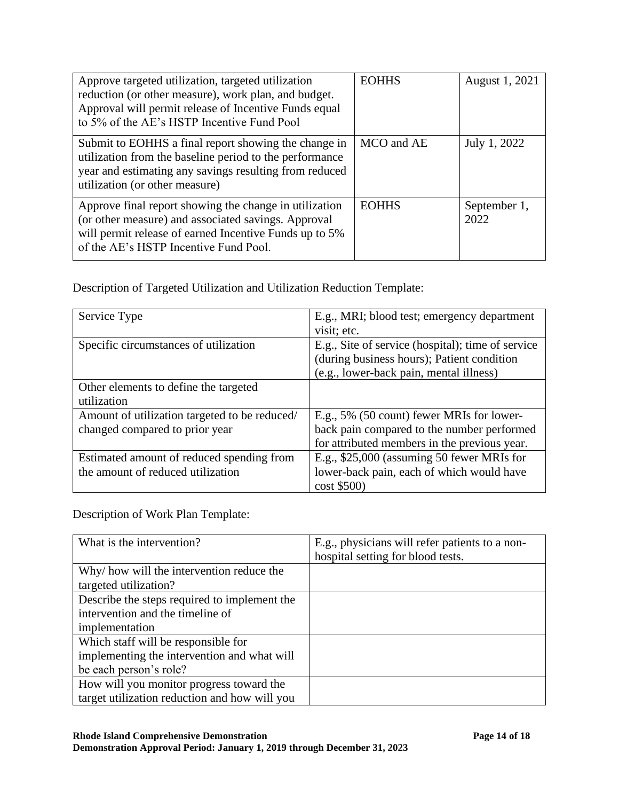| Approve targeted utilization, targeted utilization<br>reduction (or other measure), work plan, and budget.<br>Approval will permit release of Incentive Funds equal<br>to 5% of the AE's HSTP Incentive Fund Pool | <b>EOHHS</b> | August 1, 2021       |
|-------------------------------------------------------------------------------------------------------------------------------------------------------------------------------------------------------------------|--------------|----------------------|
| Submit to EOHHS a final report showing the change in<br>utilization from the baseline period to the performance<br>year and estimating any savings resulting from reduced<br>utilization (or other measure)       | MCO and AE   | July 1, 2022         |
| Approve final report showing the change in utilization<br>(or other measure) and associated savings. Approval<br>will permit release of earned Incentive Funds up to 5%<br>of the AE's HSTP Incentive Fund Pool.  | <b>EOHHS</b> | September 1,<br>2022 |

Description of Targeted Utilization and Utilization Reduction Template:

| Service Type                                  | E.g., MRI; blood test; emergency department       |
|-----------------------------------------------|---------------------------------------------------|
|                                               | visit; etc.                                       |
| Specific circumstances of utilization         | E.g., Site of service (hospital); time of service |
|                                               | (during business hours); Patient condition        |
|                                               | (e.g., lower-back pain, mental illness)           |
| Other elements to define the targeted         |                                                   |
| utilization                                   |                                                   |
| Amount of utilization targeted to be reduced/ | E.g., 5% (50 count) fewer MRIs for lower-         |
| changed compared to prior year                | back pain compared to the number performed        |
|                                               | for attributed members in the previous year.      |
| Estimated amount of reduced spending from     | E.g., $$25,000$ (assuming 50 fewer MRIs for       |
| the amount of reduced utilization             | lower-back pain, each of which would have         |
|                                               | $cost$ \$500)                                     |

Description of Work Plan Template:

| What is the intervention?                     | E.g., physicians will refer patients to a non- |
|-----------------------------------------------|------------------------------------------------|
|                                               | hospital setting for blood tests.              |
| Why/ how will the intervention reduce the     |                                                |
| targeted utilization?                         |                                                |
| Describe the steps required to implement the  |                                                |
| intervention and the timeline of              |                                                |
| implementation                                |                                                |
| Which staff will be responsible for           |                                                |
| implementing the intervention and what will   |                                                |
| be each person's role?                        |                                                |
| How will you monitor progress toward the      |                                                |
| target utilization reduction and how will you |                                                |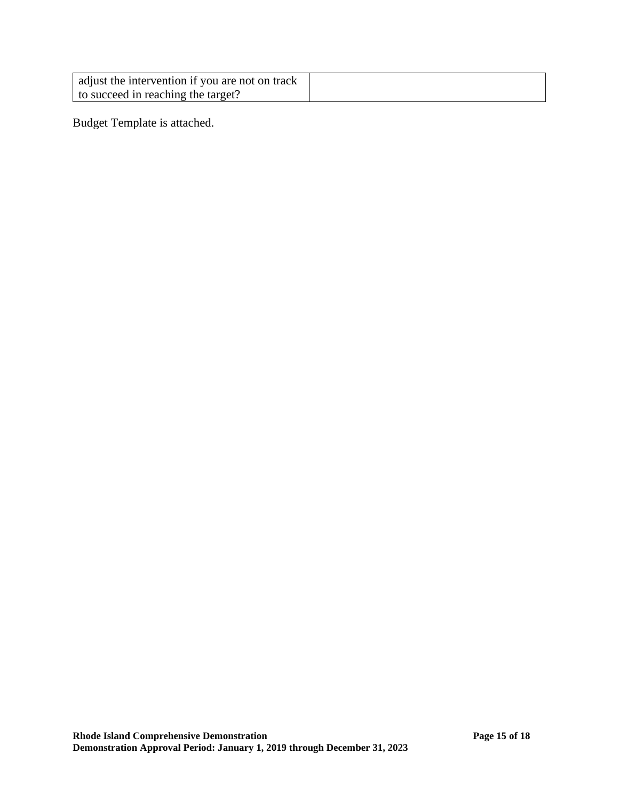| adjust the intervention if you are not on track |  |
|-------------------------------------------------|--|
| to succeed in reaching the target?              |  |

Budget Template is attached.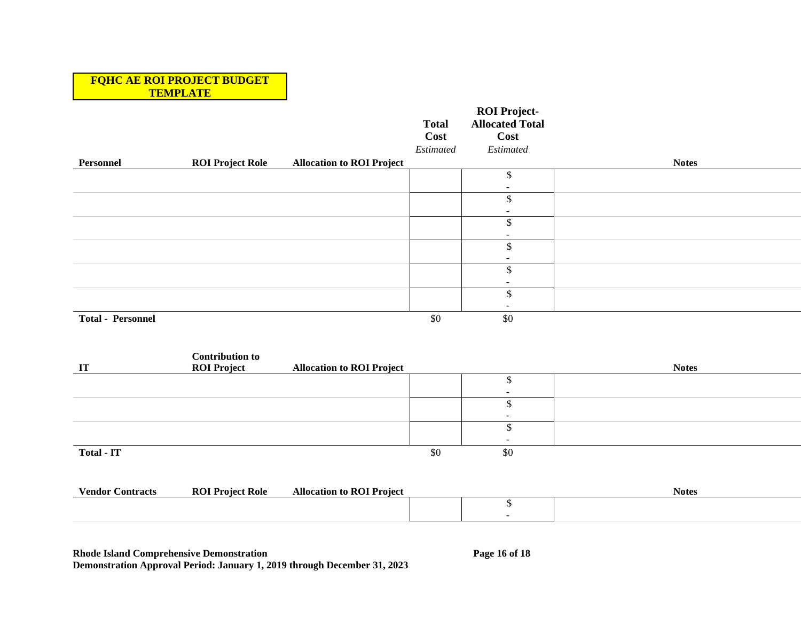#### **FQHC AE ROI PROJECT BUDGET TEMPLATE**

|                          |                         |                                  | <b>Total</b><br>Cost<br>Estimated | <b>ROI Project-</b><br><b>Allocated Total</b><br>Cost<br>Estimated |              |
|--------------------------|-------------------------|----------------------------------|-----------------------------------|--------------------------------------------------------------------|--------------|
| Personnel                | <b>ROI Project Role</b> | <b>Allocation to ROI Project</b> |                                   |                                                                    | <b>Notes</b> |
|                          |                         |                                  |                                   |                                                                    |              |
|                          |                         |                                  |                                   |                                                                    |              |
|                          |                         |                                  |                                   |                                                                    |              |
|                          |                         |                                  |                                   |                                                                    |              |
|                          |                         |                                  |                                   |                                                                    |              |
|                          |                         |                                  |                                   |                                                                    |              |
|                          |                         |                                  |                                   |                                                                    |              |
|                          |                         |                                  |                                   |                                                                    |              |
|                          |                         |                                  |                                   |                                                                    |              |
|                          |                         |                                  |                                   |                                                                    |              |
|                          |                         |                                  |                                   |                                                                    |              |
|                          |                         |                                  |                                   |                                                                    |              |
| <b>Total - Personnel</b> |                         |                                  | \$0                               | \$0                                                                |              |

|                   | <b>Contribution to</b> |                                  |     |        |              |
|-------------------|------------------------|----------------------------------|-----|--------|--------------|
| <b>IT</b>         | <b>ROI Project</b>     | <b>Allocation to ROI Project</b> |     |        | <b>Notes</b> |
|                   |                        |                                  |     |        |              |
|                   |                        |                                  |     | -      |              |
|                   |                        |                                  |     |        |              |
|                   |                        |                                  |     | $\sim$ |              |
|                   |                        |                                  |     |        |              |
|                   |                        |                                  |     |        |              |
| <b>Total - IT</b> |                        |                                  | \$0 | \$0    |              |

| /endor<br>`ontracts | RO<br>Praia<br>Kole | Allocation<br>Project |  | <b>Notes</b> |
|---------------------|---------------------|-----------------------|--|--------------|
|                     |                     |                       |  |              |
|                     |                     |                       |  |              |

**Rhode Island Comprehensive Demonstration Page 16 of 18 Demonstration Approval Period: January 1, 2019 through December 31, 2023**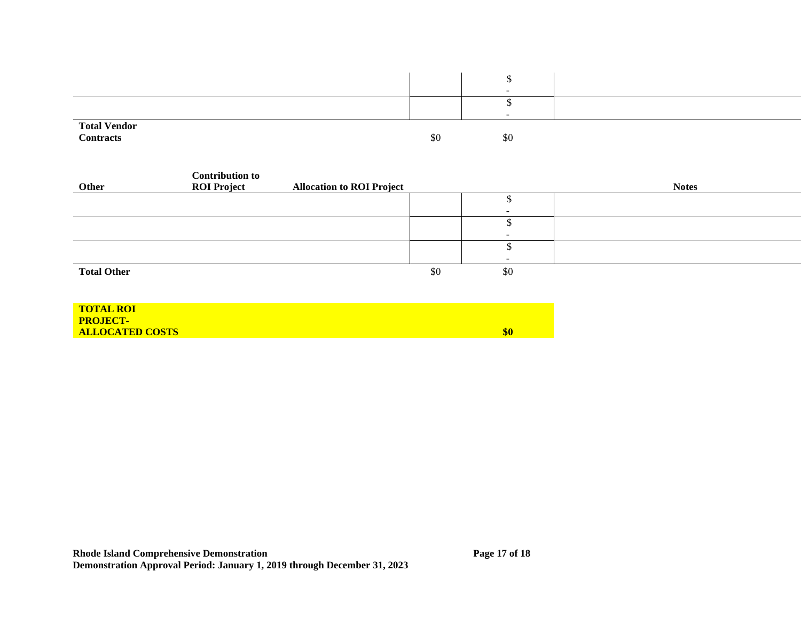|                                         |     | -        |  |
|-----------------------------------------|-----|----------|--|
|                                         |     |          |  |
|                                         |     | $\sim$   |  |
| <b>Total Vendor</b><br><b>Contracts</b> |     |          |  |
|                                         | \$0 | ሖ.<br>SС |  |

|                    | <b>Contribution to</b> |                                  |     |     |              |
|--------------------|------------------------|----------------------------------|-----|-----|--------------|
| Other              | <b>ROI Project</b>     | <b>Allocation to ROI Project</b> |     |     | <b>Notes</b> |
|                    |                        |                                  |     |     |              |
|                    |                        |                                  |     |     |              |
|                    |                        |                                  |     |     |              |
|                    |                        |                                  |     | -   |              |
|                    |                        |                                  |     |     |              |
|                    |                        |                                  |     |     |              |
| <b>Total Other</b> |                        |                                  | \$0 | \$0 |              |
|                    |                        |                                  |     |     |              |

| <b>TOTAL ROI</b>       |     |
|------------------------|-----|
| <b>PROJECT-</b>        |     |
| <b>ALLOCATED COSTS</b> | \$0 |